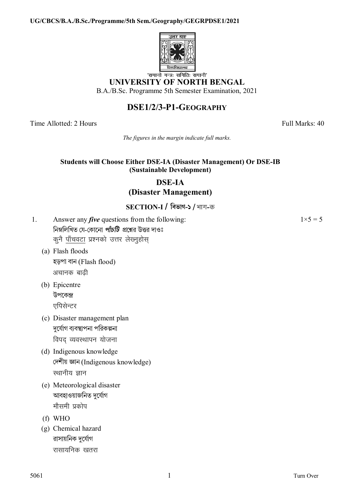#### UG/CBCS/B.A./B.Sc./Programme/5th Sem./Geography/GEGRPDSE1/2021



## **UNIVERSITY OF NORTH BENGAL**

B.A./B.Sc. Programme 5th Semester Examination, 2021

# DSE1/2/3-P1-GEOGRAPHY

Time Allotted: 2 Hours

Full Marks: 40

 $1 \times 5 = 5$ 

The figures in the margin indicate full marks.

#### **Students will Choose Either DSE-IA (Disaster Management) Or DSE-IB** (Sustainable Development)

## **DSE-IA** (Disaster Management)

### SECTION-I / विड़ोग-১ / भाग-क

- $1<sup>1</sup>$ Answer any *five* questions from the following: নিম্নলিখিত যে-কোনো *পাঁচটি প্র*শ্নের উত্তর দাওঃ कुनै पाँचवटा प्रश्नको उत्तर लेख्नुहोस्
	- (a) Flash floods হড়পা বান (Flash flood) अचानक बाढी
	- (b) Epicentre উপকেন্দ্ৰ एपिसेन्टर
	- (c) Disaster management plan দৰ্যোগ ব্যবস্থাপনা পৱিকল্পনা विपद व्यवस्थापन योजना
	- (d) Indigenous knowledge দেশীয় জ্ঞান (Indigenous knowledge) स्थानीय ज्ञान
	- (e) Meteorological disaster আবহাওয়াজনিত দুৰ্যোগ मौसमी प्रकोप
	- $(f)$  WHO
	- (g) Chemical hazard রাসায়নিক দর্যোগ रासायनिक खतरा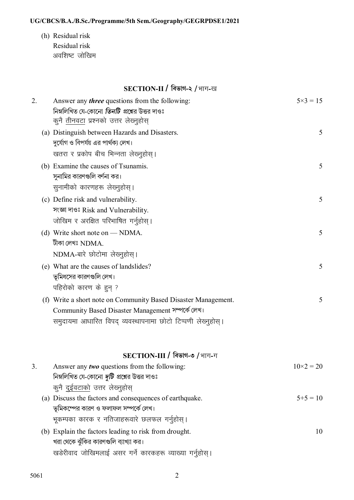#### UG/CBCS/B.A./B.Sc./Programme/5th Sem./Geography/GEGRPDSE1/2021

(h) Residual risk Residual risk अवशिष्ट जोखिम

# SECTION-II / विज्ञान-२ / भाग-ख

| 2. | Answer any <i>three</i> questions from the following:<br>নিম্নলিখিত যে-কোনো <i>তিনটি প্র</i> শ্নের উত্তর দাওঃ<br>कुनै <u>तीनवटा</u> प्रश्नको उत्तर लेख्नुहोस् | $5 \times 3 = 15$ |
|----|---------------------------------------------------------------------------------------------------------------------------------------------------------------|-------------------|
|    | (a) Distinguish between Hazards and Disasters.<br>দুর্যোগ ও বিপর্যয় এর পার্থক্য লেখ।                                                                         | 5                 |
|    | खतरा र प्रकोप बीच भिन्नता लेख्नुहोस्।                                                                                                                         |                   |
|    | (b) Examine the causes of Tsunamis.<br>সুনামির কারণগুলি বর্ণনা কর।                                                                                            | 5                 |
|    | सुनामीको कारणहरू लेख्नुहोस्।                                                                                                                                  |                   |
|    | (c) Define risk and vulnerability.<br>সংজ্ঞা দাওঃ Risk and Vulnerability.<br>जोखिम र अरक्षित परिभाषित गर्नुहोस्।                                              | 5                 |
|    | (d) Write short note on — NDMA.                                                                                                                               | 5                 |
|    | টীকা লেখঃ $NDMA$ .                                                                                                                                            |                   |
|    | NDMA-बारे छोटोमा लेख्नुहोस्।                                                                                                                                  |                   |
|    | (e) What are the causes of landslides?<br>ভূমিধসের কারণগুলি লেখ।                                                                                              | 5                 |
|    | पहिरोको कारण के हुन् ?                                                                                                                                        |                   |
|    |                                                                                                                                                               |                   |
|    | (f) Write a short note on Community Based Disaster Management.<br>Community Based Disaster Management সম্পর্কে লেখ।                                           | 5                 |
|    |                                                                                                                                                               |                   |
|    | समुदायमा आधारित विपद् व्यवस्थापनामा छोटो टिप्पणी लेख्नुहोस् ।                                                                                                 |                   |
|    | $SECTION-III$ / বিভাগ-৩ / भाग-ग                                                                                                                               |                   |
| 3. | Answer any <i>two</i> questions from the following:                                                                                                           | $10\times2 = 20$  |
|    | নিম্নলিখিত যে-কোনো <i>দুটি প্র</i> শ্নের উত্তর দাওঃ                                                                                                           |                   |
|    | कुनै <u>दुईवटाको</u> उत्तर लेख्नुहोस्                                                                                                                         |                   |
|    | (a) Discuss the factors and consequences of earthquake.<br>ভূমিকম্পের কারণ ও ফলাফল সম্পর্কে লেখ।                                                              | $5+5=10$          |
|    | भूकम्पका कारक र नतिजाहरूवारे छलफल गर्नुहोस्।                                                                                                                  |                   |
|    | (b) Explain the factors leading to risk from drought.                                                                                                         | 10                |
|    | খরা থেকে ঝুঁকির কারণগুলি ব্যাখ্যা কর।                                                                                                                         |                   |
|    | खडेरीवाद जोखिमलाई असर गर्ने कारकहरू व्याख्या गर्नुहोस्।                                                                                                       |                   |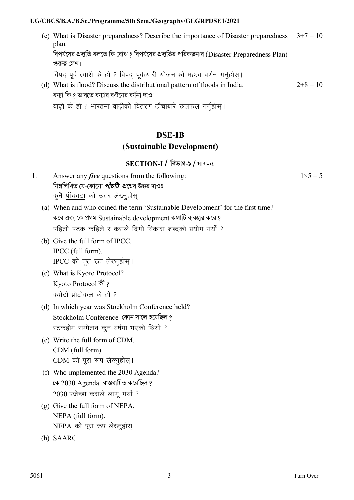#### UG/CBCS/B.A./B.Sc./Programme/5th Sem./Geography/GEGRPDSE1/2021

(c) What is Disaster preparedness? Describe the importance of Disaster preparedness  $3+7 = 10$ plan. বিপর্যয়ের প্রস্তুতি বলতে কি বোঝ ? বিপর্যয়ের প্রস্তুতির পরিকল্পনার (Disaster Preparedness Plan) গুরুত্ব লেখ। विपद पूर्व त्यारी के हो ? विपद पूर्वत्यारी योजनाको महत्व वर्णन गर्नुहोस् । (d) What is flood? Discuss the distributional pattern of floods in India.  $2+8=10$ বন্যা কি १ ভারতে বন্যার বন্টনের বর্ণনা দাও।

वाढ़ी के हो ? भारतमा वाढ़ीको वितरण ढाँचाबारे छलफल गर्नुहोस् ।

# **DSE-IB** (Sustainable Development)

### $SECTION-I$  / বিভাগ-১ / भाग-क

- Answer any *five* questions from the following:  $\mathbf{1}$ নিম্নলিখিত যে-কোনো *পাঁচটি প্রশ্নে*র উত্তর দাওঃ कुनै पाँचवटा को उत्तर लेख्नुहोस्
	- (a) When and who coined the term 'Sustainable Development' for the first time? কবে এবং কে প্রথম Sustainable development কথাটি ব্যবহার করে ? पहिलो पटक कहिले र कसले दिगो विकास शब्दको प्रयोग गर्यो ?
	- (b) Give the full form of IPCC. IPCC (full form). IPCC को पूरा रूप लेख्नुहोस।
	- (c) What is Kyoto Protocol? Kyoto Protocol কী? क्योटो प्रोटोकल के हो ?
	- (d) In which year was Stockholm Conference held? Stockholm Conference কোন সালে হয়েছিল ? स्टकहोम सम्मेलन कुन वर्षमा भएको थियो ?
	- (e) Write the full form of CDM. CDM (full form). CDM को पूरा रूप लेख्नुहोस्।
	- (f) Who implemented the 2030 Agenda? কে 2030 Agenda বাস্তবায়িত করেছিল ? 2030 एजेन्डा कसले लाग गर्यो ?
	- $(g)$  Give the full form of NEPA. NEPA (full form). NEPA को पूरा रूप लेख्नुहोस्।
	- (h) SAARC

 $1 \times 5 = 5$